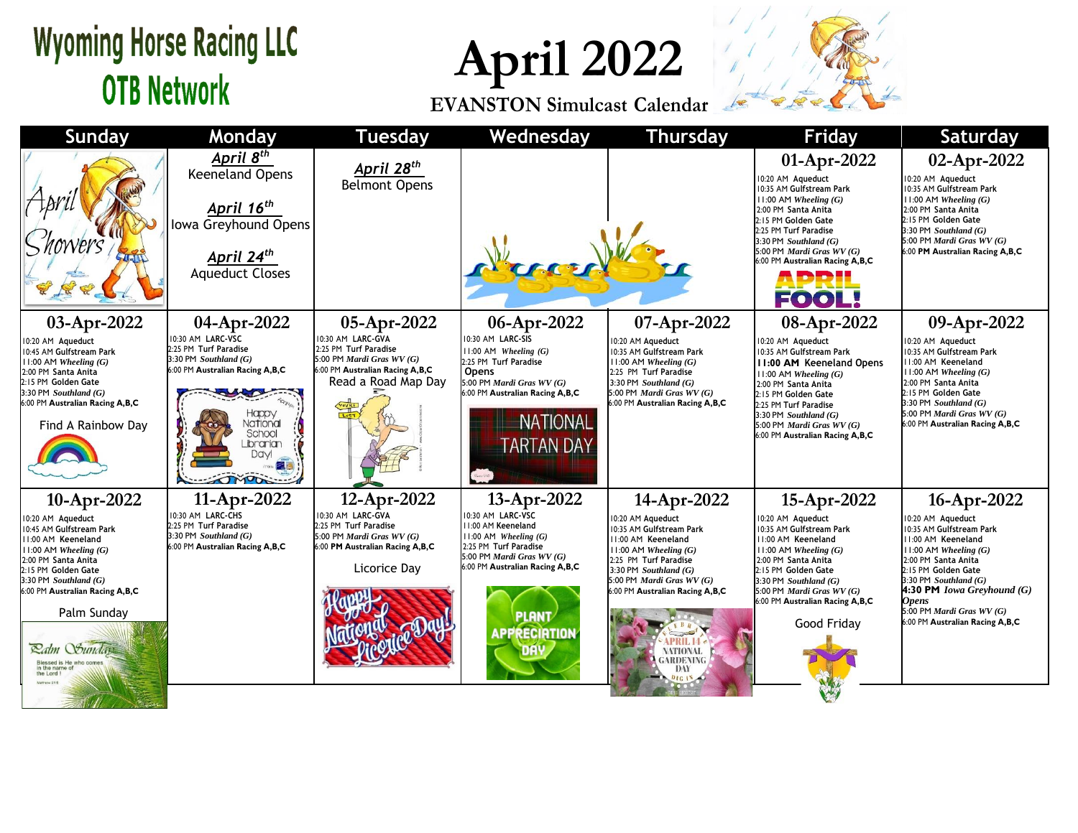## **Wyoming Horse Racing LLC OTB Network**

**April 2022**

**EVANSTON Simulcast Calendar**



| <b>Sunday</b>                                                                                                                                                                                                                                                                                                               | Monday                                                                                                                                                                                             | <b>Tuesday</b>                                                                                                                                    | Wednesday                                                                                                                                                                                                                    | <b>Thursday</b>                                                                                                                                                                                                                                                                                          | <b>Friday</b>                                                                                                                                                                                                                                                                                  | <b>Saturday</b>                                                                                                                                                                                                                                                                                         |
|-----------------------------------------------------------------------------------------------------------------------------------------------------------------------------------------------------------------------------------------------------------------------------------------------------------------------------|----------------------------------------------------------------------------------------------------------------------------------------------------------------------------------------------------|---------------------------------------------------------------------------------------------------------------------------------------------------|------------------------------------------------------------------------------------------------------------------------------------------------------------------------------------------------------------------------------|----------------------------------------------------------------------------------------------------------------------------------------------------------------------------------------------------------------------------------------------------------------------------------------------------------|------------------------------------------------------------------------------------------------------------------------------------------------------------------------------------------------------------------------------------------------------------------------------------------------|---------------------------------------------------------------------------------------------------------------------------------------------------------------------------------------------------------------------------------------------------------------------------------------------------------|
|                                                                                                                                                                                                                                                                                                                             | April 8 <sup>th</sup><br><b>Keeneland Opens</b><br>April 16 <sup>th</sup><br>Iowa Greyhound Opens<br><b>April 24<sup>th</sup></b><br>Aqueduct Closes                                               | April 28 <sup>th</sup><br><b>Belmont Opens</b>                                                                                                    |                                                                                                                                                                                                                              |                                                                                                                                                                                                                                                                                                          | 01-Apr-2022<br>10:20 AM Aqueduct<br>10:35 AM Gulfstream Park<br>11:00 AM Wheeling $(G)$<br>2:00 PM Santa Anita<br>2:15 PM Golden Gate<br>2:25 PM Turf Paradise<br>3:30 PM Southland $(G)$<br>5:00 PM Mardi Gras WV (G)<br>6:00 PM Australian Racing A,B,C<br>ADD H<br>FOOI                     | 02-Apr-2022<br>10:20 AM Aqueduct<br>10:35 AM Gulfstream Park<br>$11:00$ AM Wheeling $(G)$<br>2:00 PM Santa Anita<br>2:15 PM Golden Gate<br>3:30 PM Southland (G)<br>5:00 PM Mardi Gras WV (G)<br>6:00 PM Australian Racing A,B,C                                                                        |
| 03-Apr-2022<br>10:20 AM Aqueduct<br>10:45 AM Gulfstream Park<br>$11:00$ AM Wheeling $(G)$<br>2:00 PM Santa Anita<br>2:15 PM Golden Gate<br>$3:30$ PM Southland $(G)$<br>6:00 PM Australian Racing A,B,C<br>Find A Rainbow Day                                                                                               | 04-Apr-2022<br>10:30 AM LARC-VSC<br>2:25 PM Turf Paradise<br>$3:30$ PM Southland $(G)$<br>6:00 PM Australian Racing A,B,C<br><b>Vational</b><br>School<br><b>_ibrarian</b><br><b>Dayl</b><br>TMOOR | 05-Apr-2022<br>10:30 AM LARC-GVA<br>2:25 PM Turf Paradise<br>5:00 PM Mardi Gras $WV(G)$<br>6:00 PM Australian Racing A,B,C<br>Read a Road Map Day | 06-Apr-2022<br>10:30 AM LARC-SIS<br>$11:00$ AM Wheeling $(G)$<br>2:25 PM Turf Paradise<br>Opens<br>5:00 PM Mardi Gras WV (G)<br>6:00 PM Australian Racing A,B,C<br><b>NATIONAL</b><br><b>TARTAN DAY</b>                      | 07-Apr-2022<br>0:20 AM Aqueduct<br>0:35 AM Gulfstream Park<br>$1:00$ AM Wheeling $(G)$<br>2:25 PM Turf Paradise<br>3:30 PM Southland $(G)$<br>5:00 PM Mardi Gras $WV(G)$<br>6:00 PM Australian Racing A,B,C                                                                                              | 08-Apr-2022<br>10:20 AM Aqueduct<br>10:35 AM Gulfstream Park<br><b>11:00 AM Keeneland Opens</b><br>$11:00$ AM Wheeling $(G)$<br>2:00 PM Santa Anita<br>2:15 PM Golden Gate<br>2:25 PM Turf Paradise<br>3:30 PM Southland $(G)$<br>5:00 PM Mardi Gras WV (G)<br>6:00 PM Australian Racing A,B,C | 09-Apr-2022<br>10:20 AM Aqueduct<br>10:35 AM Gulfstream Park<br>11:00 AM Keeneland<br>$11:00$ AM Wheeling $(G)$<br>2:00 PM Santa Anita<br>2:15 PM Golden Gate<br>$3:30$ PM Southland $(G)$<br>5:00 PM Mardi Gras WV (G)<br>6:00 PM Australian Racing A,B,C                                              |
| 10-Apr-2022<br>10:20 AM Aqueduct<br>10:45 AM Gulfstream Park<br>11:00 AM Keeneland<br>$11:00$ AM Wheeling $(G)$<br>2:00 PM Santa Anita<br>2:15 PM Golden Gate<br>$3:30$ PM Southland $(G)$<br>6:00 PM Australian Racing A,B,C<br>Palm Sunday<br><b>Ralm Sundays</b><br>Blessed is He who com<br>in the name o<br>the Lord I | 11-Apr-2022<br>0:30 AM LARC-CHS<br>2:25 PM Turf Paradise<br>$3:30$ PM Southland $(G)$<br>6:00 PM Australian Racing A,B,C                                                                           | 12-Apr-2022<br>10:30 AM LARC-GVA<br>2:25 PM Turf Paradise<br>5:00 PM Mardi Gras WV (G)<br>6:00 PM Australian Racing A,B,C<br>Licorice Day         | 13-Apr-2022<br>10:30 AM LARC-VSC<br>11:00 AM Keeneland<br>$11:00$ AM Wheeling $(G)$<br>2:25 PM Turf Paradise<br>5:00 PM <i>Mardi Gras WV</i> $(G)$<br>6:00 PM Australian Racing A,B,C<br><b>PLANT</b><br><b>APPRECIATION</b> | 14-Apr-2022<br>0:20 AM Aqueduct<br>0:35 AM Gulfstream Park<br>11:00 AM Keeneland<br>$H: 00 AM$ <i>Wheeling</i> $(G)$<br>2:25 PM Turf Paradise<br>3:30 PM Southland $(G)$<br>5:00 PM <i>Mardi Gras WV</i> $(G)$<br>6:00 PM Australian Racing A,B,C<br><b>NATIONAL</b><br><b>GARDENING</b><br>DAY<br>0161N | 15-Apr-2022<br>10:20 AM Aqueduct<br>10:35 AM Gulfstream Park<br>11:00 AM Keeneland<br>11:00 AM Wheeling $(G)$<br>2:00 PM Santa Anita<br>2:15 PM Golden Gate<br>3:30 PM Southland (G)<br>5:00 PM Mardi Gras WV (G)<br>6:00 PM Australian Racing A,B,C<br>Good Friday                            | $16$ -Apr-2022<br>10:20 AM Aqueduct<br>10:35 AM Gulfstream Park<br>11:00 AM Keeneland<br>$11:00$ AM Wheeling $(G)$<br>2:00 PM Santa Anita<br>2:15 PM Golden Gate<br>3:30 PM Southland (G)<br>4:30 PM Iowa Greyhound (G)<br><b>Opens</b><br>5:00 PM Mardi Gras WV (G)<br>6:00 PM Australian Racing A,B,C |